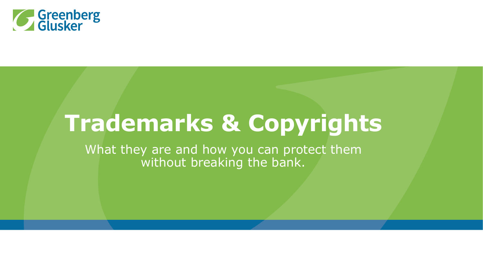

## **Trademarks & Copyrights**

What they are and how you can protect them without breaking the bank.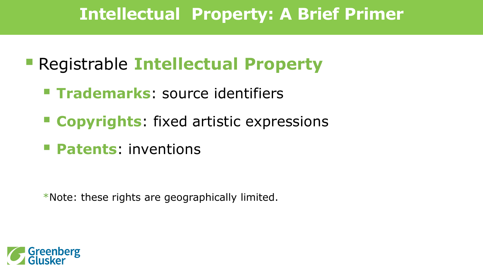## **Intellectual Property: A Brief Primer**

- **Executive Registrable Intellectual Property** 
	- **Trademarks:** source identifiers
	- **Copyrights**: fixed artistic expressions
	- **Patents**: inventions

\*Note: these rights are geographically limited.

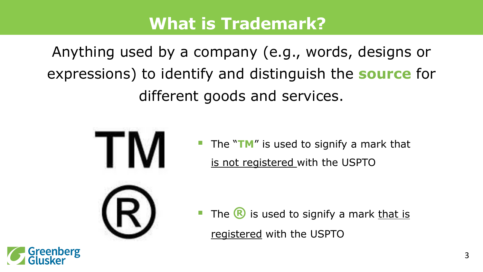#### **What is Trademark?**

Anything used by a company (e.g., words, designs or expressions) to identify and distinguish the **source** for different goods and services.



**Greenberg** 

 The "**TM**" is used to signify a mark that is not registered with the USPTO

The **R** is used to signify a mark that is registered with the USPTO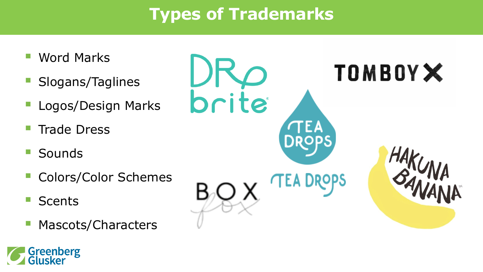## **Types of Trademarks**

- Word Marks
- Slogans/Taglines
- Logos/Design Marks
- Trade Dress
- **Sounds**
- Colors/Color Schemes
- Scents
- Mascots/Characters



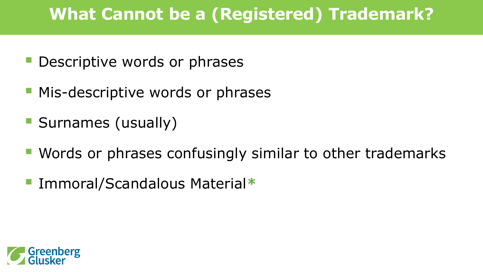## **What Cannot be a (Registered) Trademark?**

- **Descriptive words or phrases**
- **Mis-descriptive words or phrases**
- **Surnames (usually)**
- Words or phrases confusingly similar to other trademarks
- Immoral/Scandalous Material**\***

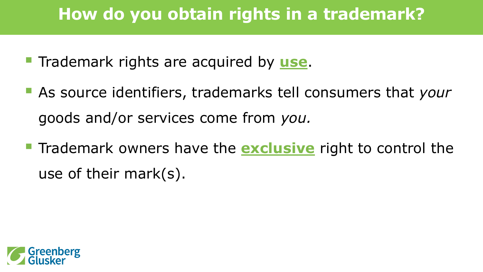## **How do you obtain rights in a trademark?**

- **Trademark rights are acquired by use.**
- As source identifiers, trademarks tell consumers that *your*  goods and/or services come from *you.*
- **Trademark owners have the <b>exclusive** right to control the use of their mark(s).

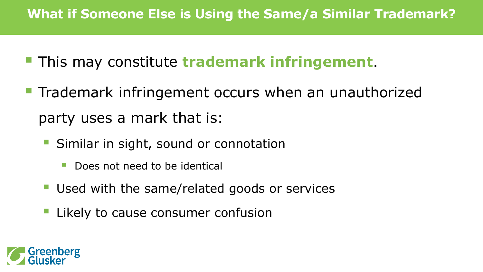#### **What if Someone Else is Using the Same/a Similar Trademark?**

- **This may constitute trademark infringement.**
- **Trademark infringement occurs when an unauthorized** party uses a mark that is:
	- **Similar in sight, sound or connotation** 
		- **Does not need to be identical**
	- **Used with the same/related goods or services**
	- **Likely to cause consumer confusion**

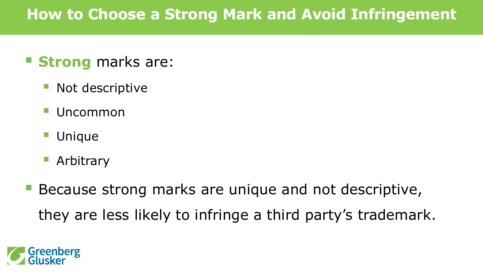#### **How to Choose a Strong Mark and Avoid Infringement**

#### **Strong** marks are:

- Not descriptive
- Uncommon
- Unique
- Arbitrary
- Because strong marks are unique and not descriptive, they are less likely to infringe a third party's trademark.

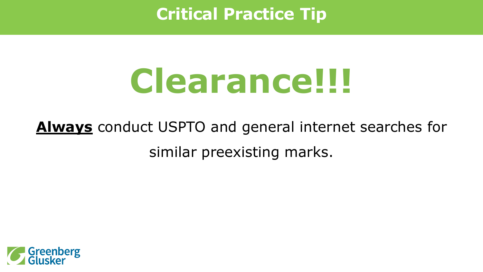### **Critical Practice Tip**

# **Clearance!!!**

## **Always** conduct USPTO and general internet searches for similar preexisting marks.

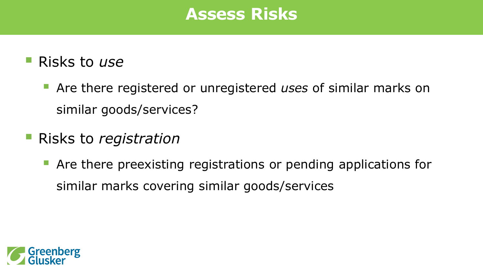#### **Assess Risks**

- Risks to *use*
	- Are there registered or unregistered *uses* of similar marks on similar goods/services?
- Risks to *registration*
	- **Are there preexisting registrations or pending applications for** similar marks covering similar goods/services

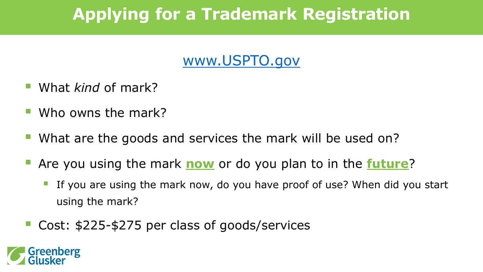## **Applying for a Trademark Registration**

#### [www.USPTO.gov](http://www.uspto.gov/)

- What *kind* of mark?
- Who owns the mark?
- What are the goods and services the mark will be used on?
- Are you using the mark **now** or do you plan to in the **future**?
	- If you are using the mark now, do you have proof of use? When did you start using the mark?
- Cost: \$225-\$275 per class of goods/services

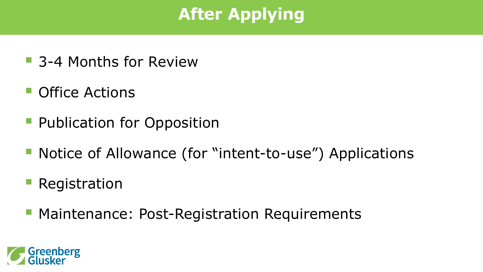## **After Applying**

- 3-4 Months for Review
- **Office Actions**
- **Publication for Opposition**
- Notice of Allowance (for "intent-to-use") Applications
- Registration
- **Maintenance: Post-Registration Requirements**

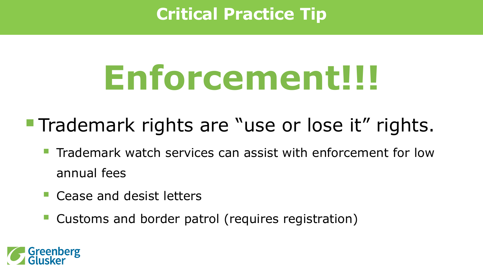## **Critical Practice Tip**

# **Enforcement!!!**

- **Trademark rights are "use or lose it" rights.** 
	- **Trademark watch services can assist with enforcement for low** annual fees
	- **Cease and desist letters**
	- **Customs and border patrol (requires registration)**

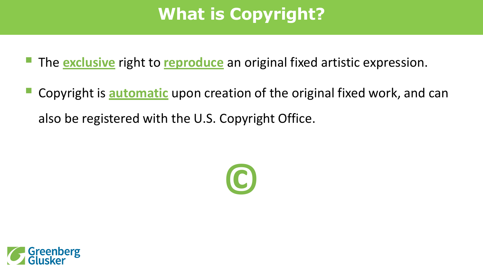## **What is Copyright?**

- **The exclusive** right to **reproduce** an original fixed artistic expression.
- Copyright is **automatic** upon creation of the original fixed work, and can also be registered with the U.S. Copyright Office.



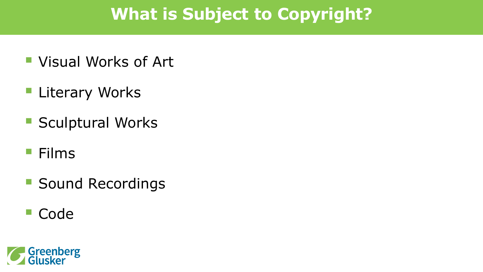## **What is Subject to Copyright?**

- Visual Works of Art
- **Literary Works**
- **Sculptural Works**
- **Films**
- **Sound Recordings**
- Code

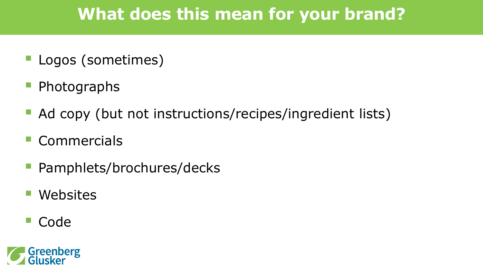## **What does this mean for your brand?**

- Logos (sometimes)
- Photographs
- Ad copy (but not instructions/recipes/ingredient lists)
- **Commercials**
- Pamphlets/brochures/decks
- Websites
- Code

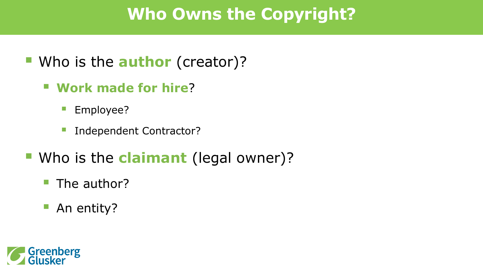## **Who Owns the Copyright?**

- Who is the **author** (creator)?
	- **Work made for hire**?
		- **Employee?**
		- **Independent Contractor?**
- **Who is the claimant** (legal owner)?
	- **The author?**
	- **An entity?**

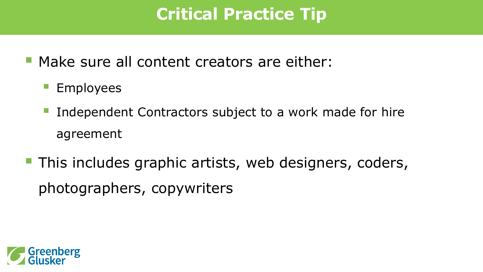## **Critical Practice Tip**

- **Make sure all content creators are either:** 
	- **Employees**
	- Independent Contractors subject to a work made for hire agreement
- **This includes graphic artists, web designers, coders,** photographers, copywriters

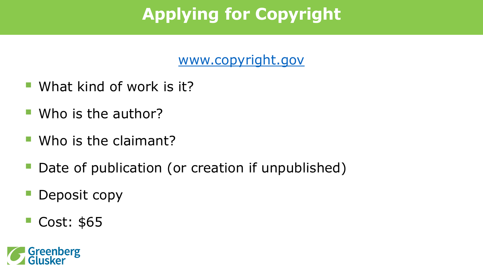## **Applying for Copyright**

[www.copyright.gov](http://www.copyright.gov/)

- **What kind of work is it?**
- **Who is the author?**
- **Who is the claimant?**
- Date of publication (or creation if unpublished)
- Deposit copy
- **Cost: \$65**

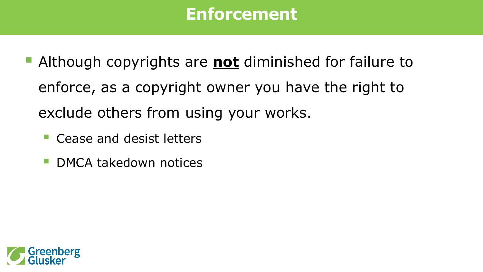#### **Enforcement**

- Although copyrights are **not** diminished for failure to enforce, as a copyright owner you have the right to exclude others from using your works.
	- Cease and desist letters
	- DMCA takedown notices

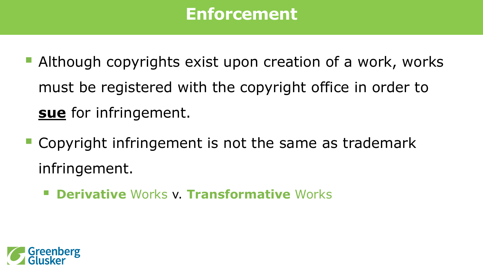#### **Enforcement**

- **Although copyrights exist upon creation of a work, works** must be registered with the copyright office in order to **sue** for infringement.
- **Copyright infringement is not the same as trademark** infringement.
	- **Derivative** Works v. **Transformative** Works